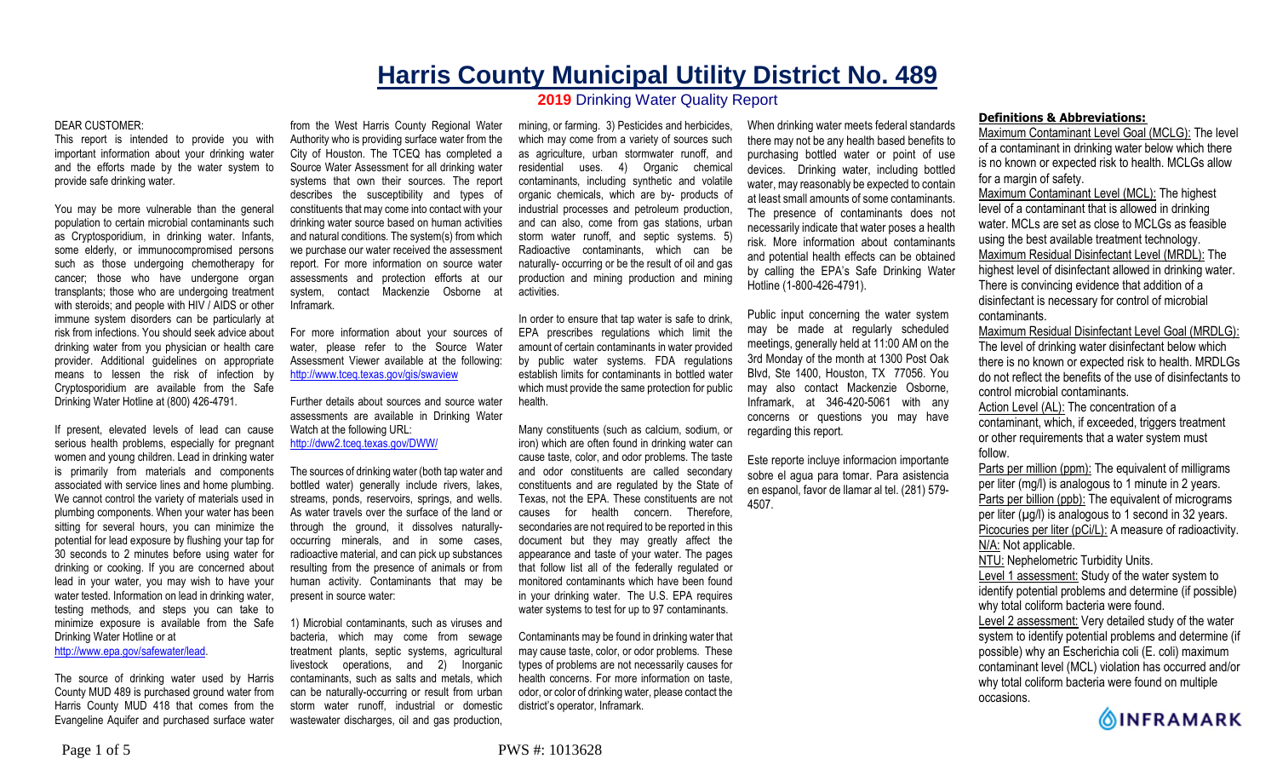# **Harris County Municipal Utility District No. 489 2019** Drinking Water Quality Report

#### DEAR CUSTOMER:

This report is intended to provide you with important information about your drinking water and the efforts made by the water system to provide safe drinking water.

You may be more vulnerable than the general population to certain microbial contaminants such as Cryptosporidium, in drinking water. Infants, some elderly, or immunocompromised persons such as those undergoing chemotherapy for cancer; those who have undergone organ transplants; those who are undergoing treatment with steroids; and people with HIV / AIDS or other immune system disorders can be particularly at risk from infections. You should seek advice about drinking water from you physician or health care provider. Additional guidelines on appropriate means to lessen the risk of infection by Cryptosporidium are available from the Safe Drinking Water Hotline at (800) 426-4791.

If present, elevated levels of lead can cause serious health problems, especially for pregnant women and young children. Lead in drinking water is primarily from materials and components associated with service lines and home plumbing. We cannot control the variety of materials used in plumbing components. When your water has been sitting for several hours, you can minimize the potential for lead exposure by flushing your tap for 30 seconds to 2 minutes before using water for drinking or cooking. If you are concerned about lead in your water, you may wish to have your water tested. Information on lead in drinking water, testing methods, and steps you can take to minimize exposure is available from the Safe Drinking Water Hotline or at

http://www.epa.gov/safewater/lead.

The source of drinking water used by Harris County MUD 489 is purchased ground water from Harris County MUD 418 that comes from the Evangeline Aquifer and purchased surface water

from the West Harris County Regional Water Authority who is providing surface water from the City of Houston. The TCEQ has completed a Source Water Assessment for all drinking water systems that own their sources. The report describes the susceptibility and types of constituents that may come into contact with your drinking water source based on human activities and natural conditions. The system(s) from which we purchase our water received the assessment report. For more information on source water assessments and protection efforts at our system, contact Mackenzie Osborne at Inframark.

For more information about your sources of water, please refer to the Source Water Assessment Viewer available at the following: http://www.tceq.texas.gov/gis/swaview

Further details about sources and source water assessments are available in Drinking Water Watch at the following URL: http://dww2.tceq.texas.gov/DWW/

The sources of drinking water (both tap water and bottled water) generally include rivers, lakes, streams, ponds, reservoirs, springs, and wells. As water travels over the surface of the land or through the ground, it dissolves naturallyoccurring minerals, and in some cases, radioactive material, and can pick up substances resulting from the presence of animals or from human activity. Contaminants that may be present in source water:

1) Microbial contaminants, such as viruses and bacteria, which may come from sewage treatment plants, septic systems, agricultural livestock operations, and 2) Inorganic contaminants, such as salts and metals, which can be naturally-occurring or result from urban storm water runoff, industrial or domestic wastewater discharges, oil and gas production.

mining, or farming. 3) Pesticides and herbicides, which may come from a variety of sources such as agriculture, urban stormwater runoff, and residential uses. 4) Organic chemical contaminants, including synthetic and volatile organic chemicals, which are by- products of industrial processes and petroleum production, and can also, come from gas stations, urban storm water runoff, and septic systems. 5) Radioactive contaminants, which can be naturally- occurring or be the result of oil and gas production and mining production and mining activities.

In order to ensure that tap water is safe to drink, EPA prescribes regulations which limit the amount of certain contaminants in water provided by public water systems. FDA regulations establish limits for contaminants in bottled water which must provide the same protection for public health.

Many constituents (such as calcium, sodium, or iron) which are often found in drinking water can cause taste, color, and odor problems. The taste and odor constituents are called secondary constituents and are regulated by the State of Texas, not the EPA. These constituents are not causes for health concern. Therefore, secondaries are not required to be reported in this document but they may greatly affect the appearance and taste of your water. The pages that follow list all of the federally regulated or monitored contaminants which have been found in your drinking water. The U.S. EPA requires water systems to test for up to 97 contaminants.

Contaminants may be found in drinking water that may cause taste, color, or odor problems. These types of problems are not necessarily causes for health concerns. For more information on taste, odor, or color of drinking water, please contact the district's operator, Inframark.

When drinking water meets federal standards there may not be any health based benefits to purchasing bottled water or point of use devices. Drinking water, including bottled water, may reasonably be expected to contain at least small amounts of some contaminants. The presence of contaminants does not necessarily indicate that water poses a health risk. More information about contaminants and potential health effects can be obtained by calling the EPA's Safe Drinking Water Hotline (1-800-426-4791).

Public input concerning the water system may be made at regularly scheduled meetings, generally held at 11:00 AM on the 3rd Monday of the month at 1300 Post Oak Blvd, Ste 1400, Houston, TX 77056. You may also contact Mackenzie Osborne, Inframark, at 346-420-5061 with any concerns or questions you may have regarding this report.

Este reporte incluye informacion importante sobre el agua para tomar. Para asistencia en espanol, favor de llamar al tel. (281) 579- 4507.

### **Definitions & Abbreviations:**

Maximum Contaminant Level Goal (MCLG): The level of a contaminant in drinking water below which there is no known or expected risk to health. MCLGs allow for a margin of safety.

Maximum Contaminant Level (MCL): The highest level of a contaminant that is allowed in drinking water. MCLs are set as close to MCLGs as feasible using the best available treatment technology. Maximum Residual Disinfectant Level (MRDL): The highest level of disinfectant allowed in drinking water. There is convincing evidence that addition of a disinfectant is necessary for control of microbial contaminants.

Maximum Residual Disinfectant Level Goal (MRDLG): The level of drinking water disinfectant below which there is no known or expected risk to health. MRDLGs do not reflect the benefits of the use of disinfectants to control microbial contaminants.

Action Level (AL): The concentration of a contaminant, which, if exceeded, triggers treatment or other requirements that a water system must follow.

Parts per million (ppm): The equivalent of milligrams per liter (mg/l) is analogous to 1 minute in 2 years. Parts per billion (ppb): The equivalent of micrograms per liter  $(\mu g/l)$  is analogous to 1 second in 32 years. Picocuries per liter (pCi/L): A measure of radioactivity. N/A: Not applicable. NTU: Nephelometric Turbidity Units.

Level 1 assessment: Study of the water system to identify potential problems and determine (if possible) why total coliform bacteria were found. Level 2 assessment: Very detailed study of the water

system to identify potential problems and determine (if possible) why an Escherichia coli (E. coli) maximum contaminant level (MCL) violation has occurred and/or why total coliform bacteria were found on multiple occasions.

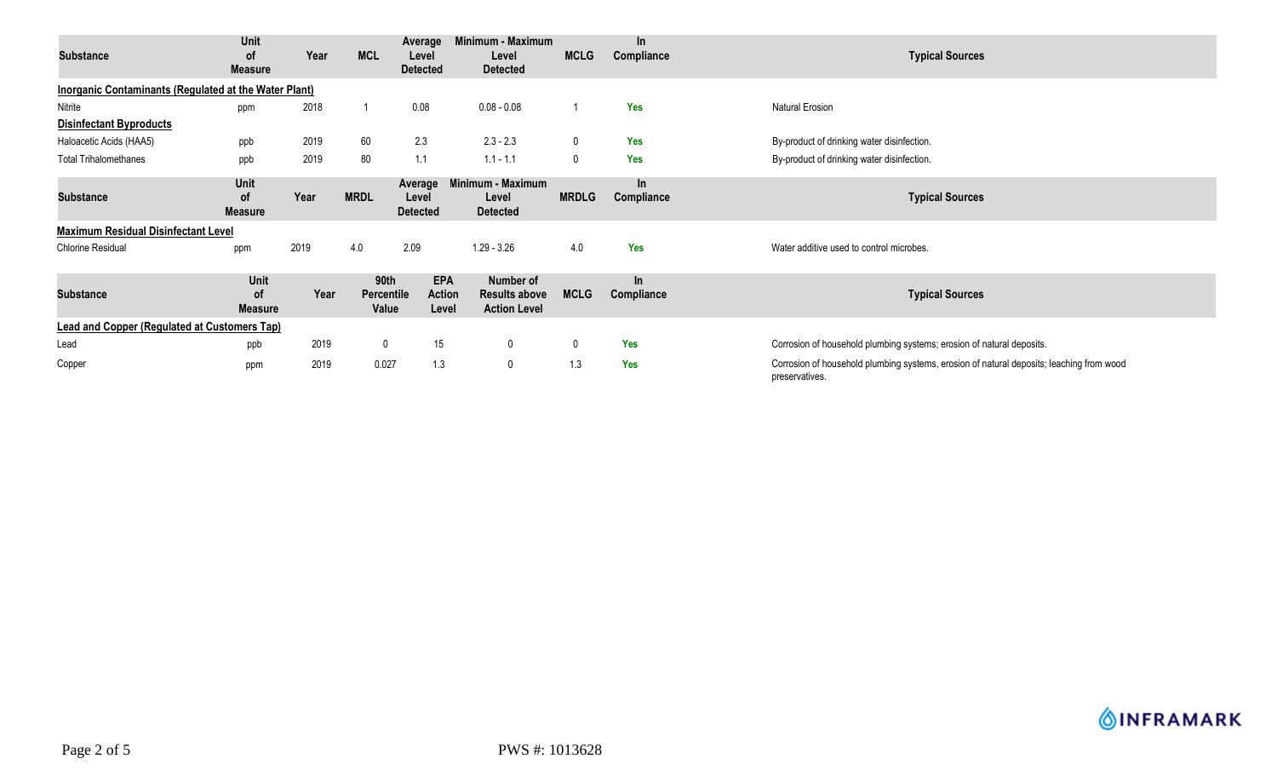| <b>Substance</b>                                             | Unit<br>0f<br><b>Measure</b>        | Year | <b>MCL</b>                  | Average<br>Level<br><b>Detected</b>  | Minimum - Maximum<br>Level<br><b>Detected</b>            | <b>MCLG</b>  | <b>In</b><br>Compliance | <b>Typical Sources</b>                                                                                     |
|--------------------------------------------------------------|-------------------------------------|------|-----------------------------|--------------------------------------|----------------------------------------------------------|--------------|-------------------------|------------------------------------------------------------------------------------------------------------|
| <b>Inorganic Contaminants (Regulated at the Water Plant)</b> |                                     |      |                             |                                      |                                                          |              |                         |                                                                                                            |
| Nitrite                                                      | ppm                                 | 2018 |                             | 0.08                                 | $0.08 - 0.08$                                            |              | <b>Yes</b>              | Natural Erosion                                                                                            |
| <b>Disinfectant Byproducts</b>                               |                                     |      |                             |                                      |                                                          |              |                         |                                                                                                            |
| Haloacetic Acids (HAA5)                                      | ppb                                 | 2019 | 60                          | 2.3                                  | $2.3 - 2.3$                                              |              | <b>Yes</b>              | By-product of drinking water disinfection.                                                                 |
| <b>Total Trihalomethanes</b>                                 | ppb                                 | 2019 | 80                          | 1.1                                  | $1.1 - 1.1$                                              | $\Omega$     | <b>Yes</b>              | By-product of drinking water disinfection.                                                                 |
| <b>Substance</b>                                             | Unit<br><b>of</b><br><b>Measure</b> | Year | <b>MRDL</b>                 | Average<br>Level<br><b>Detected</b>  | Minimum - Maximum<br>Level<br><b>Detected</b>            | <b>MRDLG</b> | $\ln$<br>Compliance     | <b>Typical Sources</b>                                                                                     |
| <b>Maximum Residual Disinfectant Level</b>                   |                                     |      |                             |                                      |                                                          |              |                         |                                                                                                            |
| <b>Chlorine Residual</b>                                     | ppm                                 | 2019 | 4.0                         | 2.09                                 | $1.29 - 3.26$                                            | 4.0          | <b>Yes</b>              | Water additive used to control microbes.                                                                   |
| <b>Substance</b>                                             | Unit<br>οf<br><b>Measure</b>        | Year | 90th<br>Percentile<br>Value | <b>EPA</b><br><b>Action</b><br>Level | Number of<br><b>Results above</b><br><b>Action Level</b> | <b>MCLG</b>  | $\ln$<br>Compliance     | <b>Typical Sources</b>                                                                                     |
| <b>Lead and Copper (Regulated at Customers Tap)</b>          |                                     |      |                             |                                      |                                                          |              |                         |                                                                                                            |
| Lead                                                         | ppb                                 | 2019 | $\mathbf 0$                 | 15                                   | 0                                                        | $\mathbf 0$  | <b>Yes</b>              | Corrosion of household plumbing systems; erosion of natural deposits.                                      |
| Copper                                                       | ppm                                 | 2019 | 0.027                       | 1.3                                  | $\mathbf 0$                                              | 1.3          | Yes                     | Corrosion of household plumbing systems, erosion of natural deposits; leaching from wood<br>preservatives. |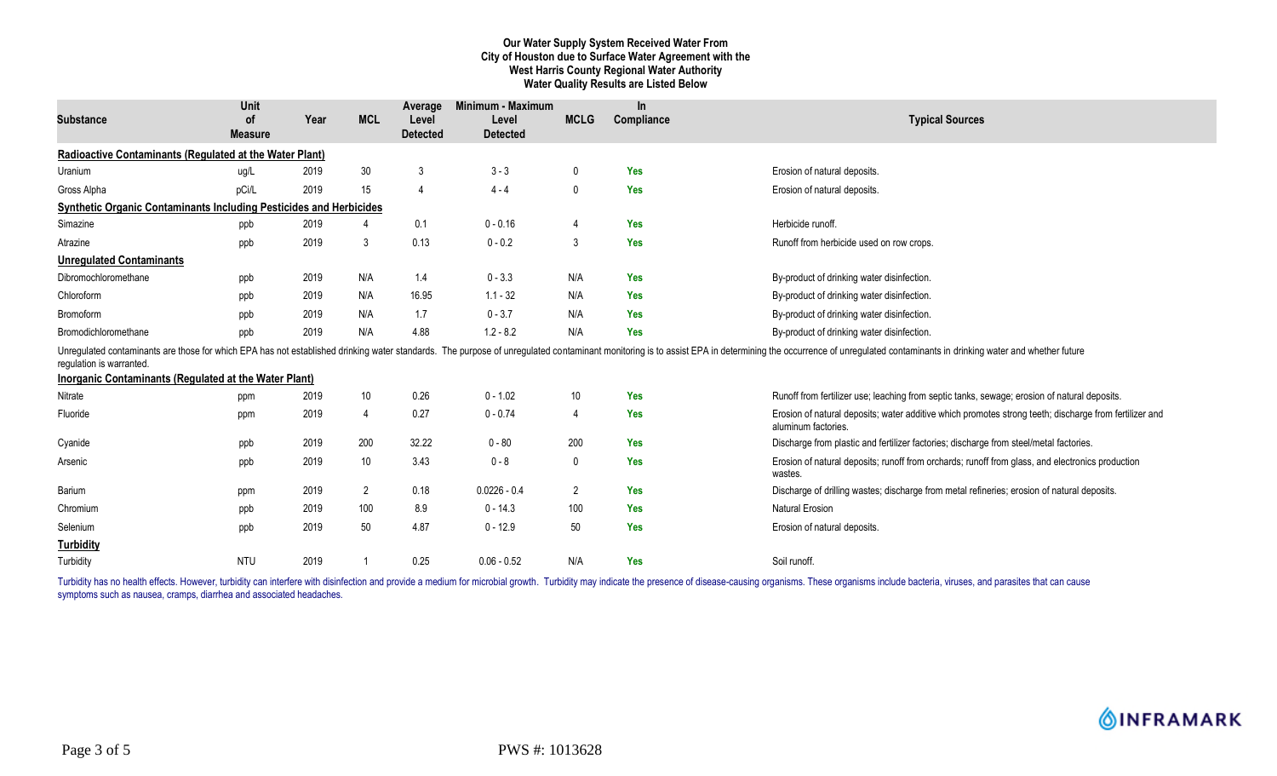# **Our Water Supply System Received Water From City of Houston due to Surface Water Agreement with the West Harris County Regional Water Authority Water Quality Results are Listed Below**

| <b>Substance</b>                                                          | <b>Unit</b><br><b>of</b> | Year | <b>MCL</b>     | Average<br>Level | Minimum - Maximum<br>Level | <b>MCLG</b>  | In<br>Compliance | <b>Typical Sources</b>                                                                                                                                                                                                         |
|---------------------------------------------------------------------------|--------------------------|------|----------------|------------------|----------------------------|--------------|------------------|--------------------------------------------------------------------------------------------------------------------------------------------------------------------------------------------------------------------------------|
|                                                                           | <b>Measure</b>           |      |                | <b>Detected</b>  | <b>Detected</b>            |              |                  |                                                                                                                                                                                                                                |
| Radioactive Contaminants (Regulated at the Water Plant)                   |                          |      |                |                  |                            |              |                  |                                                                                                                                                                                                                                |
| Uranium                                                                   | ug/L                     | 2019 | 30             | 3                | $3 - 3$                    | $\mathbf 0$  | <b>Yes</b>       | Erosion of natural deposits.                                                                                                                                                                                                   |
| Gross Alpha                                                               | pCi/L                    | 2019 | 15             | $\overline{A}$   | $4 - 4$                    | 0            | <b>Yes</b>       | Erosion of natural deposits.                                                                                                                                                                                                   |
| <b>Synthetic Organic Contaminants Including Pesticides and Herbicides</b> |                          |      |                |                  |                            |              |                  |                                                                                                                                                                                                                                |
| Simazine                                                                  | ppb                      | 2019 | 4              | 0.1              | $0 - 0.16$                 | 4            | <b>Yes</b>       | Herbicide runoff.                                                                                                                                                                                                              |
| Atrazine                                                                  | ppb                      | 2019 | $\mathbf{3}$   | 0.13             | $0 - 0.2$                  | $\mathbf{3}$ | <b>Yes</b>       | Runoff from herbicide used on row crops.                                                                                                                                                                                       |
| <b>Unregulated Contaminants</b>                                           |                          |      |                |                  |                            |              |                  |                                                                                                                                                                                                                                |
| Dibromochloromethane                                                      | ppb                      | 2019 | N/A            | 1.4              | $0 - 3.3$                  | N/A          | <b>Yes</b>       | By-product of drinking water disinfection.                                                                                                                                                                                     |
| Chloroform                                                                | ppb                      | 2019 | N/A            | 16.95            | $1.1 - 32$                 | N/A          | <b>Yes</b>       | By-product of drinking water disinfection.                                                                                                                                                                                     |
| <b>Bromoform</b>                                                          | ppb                      | 2019 | N/A            | 1.7              | $0 - 3.7$                  | N/A          | Yes              | By-product of drinking water disinfection.                                                                                                                                                                                     |
| Bromodichloromethane                                                      | ppb                      | 2019 | N/A            | 4.88             | $1.2 - 8.2$                | N/A          | <b>Yes</b>       | By-product of drinking water disinfection.                                                                                                                                                                                     |
| requlation is warranted.                                                  |                          |      |                |                  |                            |              |                  | Unregulated contaminants are those for which EPA has not established drinking water standards. The purpose of unregulated contaminant monitoring is to assist EPA in determining the occurrence of unregulated contaminants in |
| <b>Inorganic Contaminants (Regulated at the Water Plant)</b>              |                          |      |                |                  |                            |              |                  |                                                                                                                                                                                                                                |
| Nitrate                                                                   | ppm                      | 2019 | 10             | 0.26             | $0 - 1.02$                 | 10           | <b>Yes</b>       | Runoff from fertilizer use; leaching from septic tanks, sewage; erosion of natural deposits.                                                                                                                                   |
| Fluoride                                                                  | ppm                      | 2019 | $\overline{4}$ | 0.27             | $0 - 0.74$                 | 4            | <b>Yes</b>       | Erosion of natural deposits; water additive which promotes strong teeth; discharge from fertilizer and<br>aluminum factories.                                                                                                  |
| Cyanide                                                                   | ppb                      | 2019 | 200            | 32.22            | $0 - 80$                   | 200          | <b>Yes</b>       | Discharge from plastic and fertilizer factories; discharge from steel/metal factories.                                                                                                                                         |
| Arsenic                                                                   | ppb                      | 2019 | 10             | 3.43             | $0 - 8$                    | 0            | <b>Yes</b>       | Erosion of natural deposits; runoff from orchards; runoff from glass, and electronics production<br>wastes.                                                                                                                    |
| Barium                                                                    | ppm                      | 2019 | $\overline{2}$ | 0.18             | $0.0226 - 0.4$             | 2            | <b>Yes</b>       | Discharge of drilling wastes; discharge from metal refineries; erosion of natural deposits.                                                                                                                                    |
| Chromium                                                                  | ppb                      | 2019 | 100            | 8.9              | $0 - 14.3$                 | 100          | <b>Yes</b>       | <b>Natural Erosion</b>                                                                                                                                                                                                         |
| Selenium                                                                  | ppb                      | 2019 | 50             | 4.87             | $0 - 12.9$                 | 50           | <b>Yes</b>       | Erosion of natural deposits.                                                                                                                                                                                                   |
| <b>Turbidity</b>                                                          |                          |      |                |                  |                            |              |                  |                                                                                                                                                                                                                                |
| Turbidity                                                                 | <b>NTU</b>               | 2019 |                | 0.25             | $0.06 - 0.52$              | N/A          | <b>Yes</b>       | Soil runoff.                                                                                                                                                                                                                   |

Turbidity has no health effects. However, turbidity can interfere with disinfection and provide a medium for microbial growth. Turbidity may indicate the presence of disease-causing organisms. These organisms include bacte symptoms such as nausea, cramps, diarrhea and associated headaches.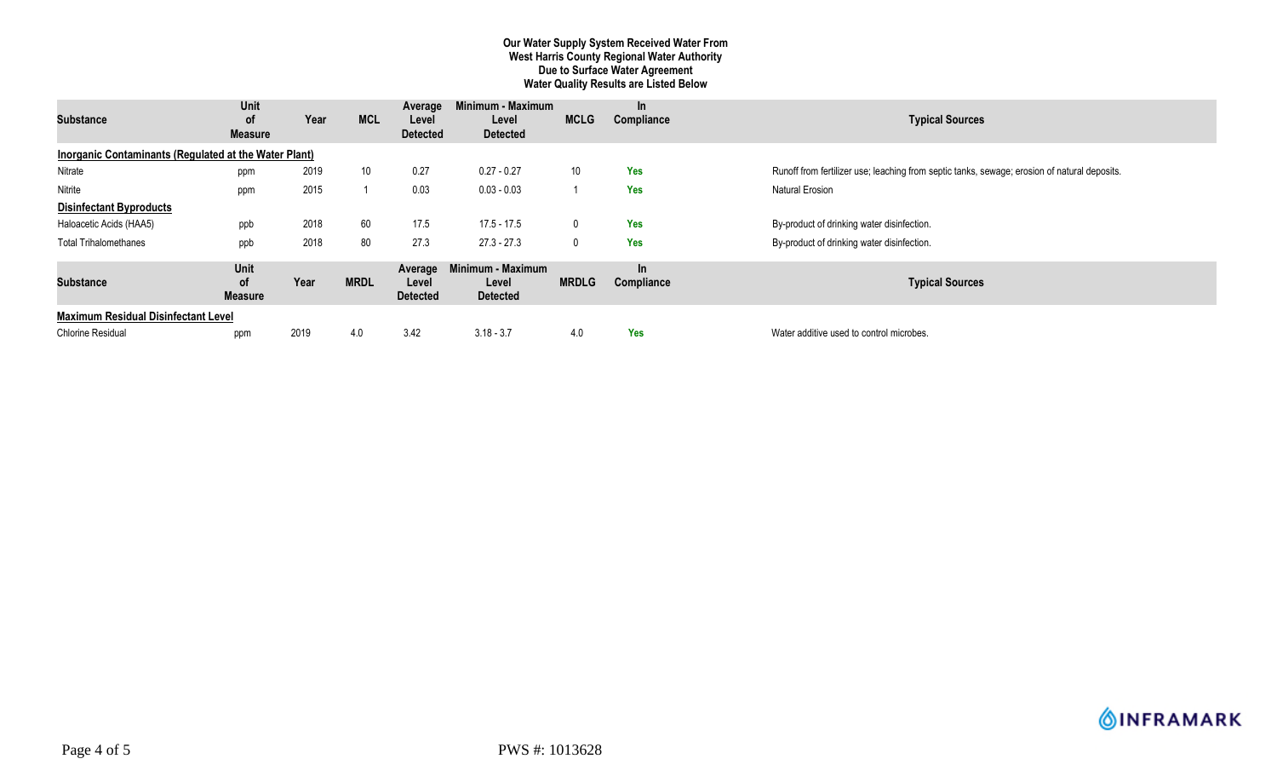# **Our Water Supply System Received Water From West Harris County Regional Water Authority Due to Surface Water Agreement Water Quality Results are Listed Below**

| <b>Substance</b>                                      | Unit<br>0f<br><b>Measure</b> | Year | <b>MCL</b>      | Average<br>Level<br><b>Detected</b> | Minimum - Maximum<br>Level<br><b>Detected</b> | <b>MCLG</b>  | <b>In</b><br>Compliance | <b>Typical Sources</b>                                                                       |  |
|-------------------------------------------------------|------------------------------|------|-----------------|-------------------------------------|-----------------------------------------------|--------------|-------------------------|----------------------------------------------------------------------------------------------|--|
| Inorganic Contaminants (Regulated at the Water Plant) |                              |      |                 |                                     |                                               |              |                         |                                                                                              |  |
| Nitrate                                               | ppm                          | 2019 | 10 <sup>°</sup> | 0.27                                | $0.27 - 0.27$                                 | 10           | Yes                     | Runoff from fertilizer use; leaching from septic tanks, sewage; erosion of natural deposits. |  |
| Nitrite                                               | ppm                          | 2015 |                 | 0.03                                | $0.03 - 0.03$                                 |              | Yes                     | <b>Natural Erosion</b>                                                                       |  |
| <b>Disinfectant Byproducts</b>                        |                              |      |                 |                                     |                                               |              |                         |                                                                                              |  |
| Haloacetic Acids (HAA5)                               | ppb                          | 2018 | 60              | 17.5                                | 17.5 - 17.5                                   | 0            | Yes                     | By-product of drinking water disinfection.                                                   |  |
| <b>Total Trihalomethanes</b>                          | ppb                          | 2018 | 80              | 27.3                                | $27.3 - 27.3$                                 | $\mathbf{0}$ | Yes                     | By-product of drinking water disinfection.                                                   |  |
| <b>Substance</b>                                      | Unit<br>οf<br><b>Measure</b> | Year | <b>MRDL</b>     | Average<br>Level<br><b>Detected</b> | Minimum - Maximum<br>Level<br><b>Detected</b> | <b>MRDLG</b> | <b>In</b><br>Compliance | <b>Typical Sources</b>                                                                       |  |
| <b>Maximum Residual Disinfectant Level</b>            |                              |      |                 |                                     |                                               |              |                         |                                                                                              |  |
| <b>Chlorine Residual</b>                              | ppm                          | 2019 | 4.0             | 3.42                                | $3.18 - 3.7$                                  | 4.0          | Yes                     | Water additive used to control microbes.                                                     |  |